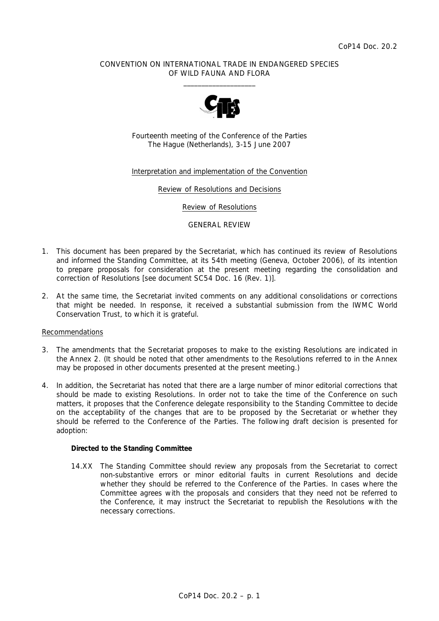## CONVENTION ON INTERNATIONAL TRADE IN ENDANGERED SPECIES OF WILD FAUNA AND FLORA  $\frac{1}{2}$  , and the set of the set of the set of the set of the set of the set of the set of the set of the set of the set of the set of the set of the set of the set of the set of the set of the set of the set of the set



Fourteenth meeting of the Conference of the Parties The Hague (Netherlands), 3-15 June 2007

## Interpretation and implementation of the Convention

Review of Resolutions and Decisions

Review of Resolutions

#### GENERAL REVIEW

- 1. This document has been prepared by the Secretariat, which has continued its review of Resolutions and informed the Standing Committee, at its 54th meeting (Geneva, October 2006), of its intention to prepare proposals for consideration at the present meeting regarding the consolidation and correction of Resolutions [see document SC54 Doc. 16 (Rev. 1)].
- 2. At the same time, the Secretariat invited comments on any additional consolidations or corrections that might be needed. In response, it received a substantial submission from the IWMC World Conservation Trust, to which it is grateful.

### Recommendations

- 3. The amendments that the Secretariat proposes to make to the existing Resolutions are indicated in the Annex 2. (It should be noted that other amendments to the Resolutions referred to in the Annex may be proposed in other documents presented at the present meeting.)
- 4. In addition, the Secretariat has noted that there are a large number of minor editorial corrections that should be made to existing Resolutions. In order not to take the time of the Conference on such matters, it proposes that the Conference delegate responsibility to the Standing Committee to decide on the acceptability of the changes that are to be proposed by the Secretariat or whether they should be referred to the Conference of the Parties. The following draft decision is presented for adoption:

### *Directed to the Standing Committee*

 14.XX The Standing Committee should review any proposals from the Secretariat to correct non-substantive errors or minor editorial faults in current Resolutions and decide whether they should be referred to the Conference of the Parties. In cases where the Committee agrees with the proposals and considers that they need not be referred to the Conference, it may instruct the Secretariat to republish the Resolutions with the necessary corrections.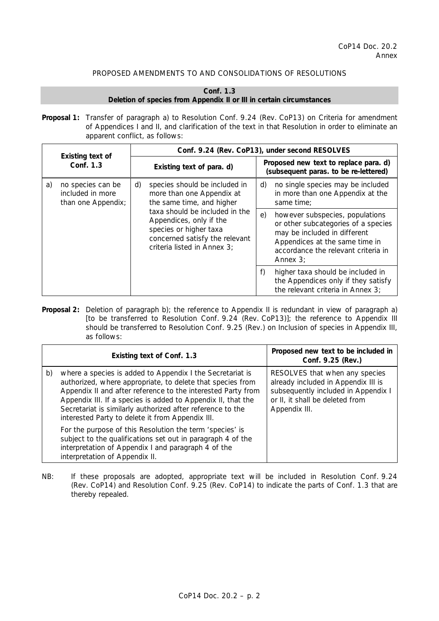# PROPOSED AMENDMENTS TO AND CONSOLIDATIONS OF RESOLUTIONS

# **Conf. 1.3 Deletion of species from Appendix II or III in certain circumstances**

*Proposal 1:* Transfer of paragraph a) to Resolution Conf. 9.24 (Rev. CoP13) on Criteria for amendment of Appendices I and II, and clarification of the text in that Resolution in order to eliminate an apparent conflict, as follows:

|    | Existing text of<br>Conf. 1.3                               |    | Conf. 9.24 (Rev. CoP13), under second RESOLVES                                                                                                       |                                                                                                               |                                                                                                                                                                                                |  |
|----|-------------------------------------------------------------|----|------------------------------------------------------------------------------------------------------------------------------------------------------|---------------------------------------------------------------------------------------------------------------|------------------------------------------------------------------------------------------------------------------------------------------------------------------------------------------------|--|
|    |                                                             |    | Existing text of para. d)                                                                                                                            |                                                                                                               | Proposed new text to replace para. d)<br>(subsequent paras. to be re-lettered)                                                                                                                 |  |
| a) | no species can be<br>included in more<br>than one Appendix; | d) | species should be included in<br>more than one Appendix at<br>the same time, and higher                                                              | d)                                                                                                            | no single species may be included<br>in more than one Appendix at the<br>same time;                                                                                                            |  |
|    |                                                             |    | taxa should be included in the<br>Appendices, only if the<br>species or higher taxa<br>concerned satisfy the relevant<br>criteria listed in Annex 3; | e)                                                                                                            | however subspecies, populations<br>or other subcategories of a species<br>may be included in different<br>Appendices at the same time in<br>accordance the relevant criteria in<br>Annex $3$ ; |  |
|    |                                                             |    | f)                                                                                                                                                   | higher taxa should be included in<br>the Appendices only if they satisfy<br>the relevant criteria in Annex 3; |                                                                                                                                                                                                |  |

*Proposal 2:* Deletion of paragraph b); the reference to Appendix II is redundant in view of paragraph a) [to be transferred to Resolution Conf. 9.24 (Rev. CoP13)]; the reference to Appendix III should be transferred to Resolution Conf. 9.25 (Rev.) on Inclusion of species in Appendix III, as follows:

| Existing text of Conf. 1.3                                                                                                                                                                                                                                                                                                                                                      | Proposed new text to be included in<br>Conf. 9.25 (Rev.)                                                                                                         |
|---------------------------------------------------------------------------------------------------------------------------------------------------------------------------------------------------------------------------------------------------------------------------------------------------------------------------------------------------------------------------------|------------------------------------------------------------------------------------------------------------------------------------------------------------------|
| where a species is added to Appendix I the Secretariat is<br>b)<br>authorized, where appropriate, to delete that species from<br>Appendix II and after reference to the interested Party from<br>Appendix III. If a species is added to Appendix II, that the<br>Secretariat is similarly authorized after reference to the<br>interested Party to delete it from Appendix III. | RESOLVES that when any species<br>already included in Appendix III is<br>subsequently included in Appendix I<br>or II, it shall be deleted from<br>Appendix III. |
| For the purpose of this Resolution the term 'species' is<br>subject to the qualifications set out in paragraph 4 of the<br>interpretation of Appendix I and paragraph 4 of the<br>interpretation of Appendix II.                                                                                                                                                                |                                                                                                                                                                  |

NB: If these proposals are adopted, appropriate text will be included in Resolution Conf. 9.24 (Rev. CoP14) and Resolution Conf. 9.25 (Rev. CoP14) to indicate the parts of Conf. 1.3 that are thereby repealed.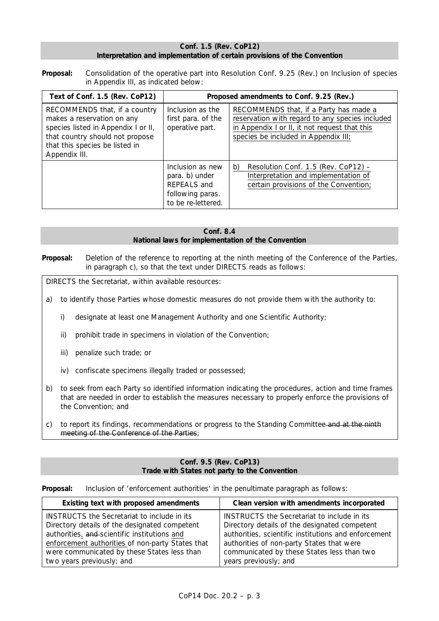## **Conf. 1.5 (Rev. CoP12) Interpretation and implementation of certain provisions of the Convention**

*Proposal:* Consolidation of the operative part into Resolution Conf. 9.25 (Rev.) on Inclusion of species in Appendix III, as indicated below:

| Text of Conf. 1.5 (Rev. CoP12)                                                                                                                                                           | Proposed amendments to Conf. 9.25 (Rev.)                                                    |                                                                                                                                                                                    |  |
|------------------------------------------------------------------------------------------------------------------------------------------------------------------------------------------|---------------------------------------------------------------------------------------------|------------------------------------------------------------------------------------------------------------------------------------------------------------------------------------|--|
| RECOMMENDS that, if a country<br>makes a reservation on any<br>species listed in Appendix I or II,<br>that country should not propose<br>that this species be listed in<br>Appendix III. | Inclusion as the<br>first para. of the<br>operative part.                                   | RECOMMENDS that, if a Party has made a<br>reservation with regard to any species included<br>in Appendix I or II, it not request that this<br>species be included in Appendix III; |  |
|                                                                                                                                                                                          | Inclusion as new<br>para. b) under<br>REPEALS and<br>following paras.<br>to be re-lettered. | Resolution Conf. 1.5 (Rev. CoP12) -<br>b)<br>Interpretation and implementation of<br>certain provisions of the Convention;                                                         |  |

**Conf. 8.4 National laws for implementation of the Convention** 

*Proposal:* Deletion of the reference to reporting at the ninth meeting of the Conference of the Parties, in paragraph c), so that the text under DIRECTS reads as follows:

DIRECTS the Secretariat, within available resources:

- a) to identify those Parties whose domestic measures do not provide them with the authority to:
	- i) designate at least one Management Authority and one Scientific Authority;
	- ii) prohibit trade in specimens in violation of the Convention;
	- iii) penalize such trade; or
	- iv) confiscate specimens illegally traded or possessed;
- b) to seek from each Party so identified information indicating the procedures, action and time frames that are needed in order to establish the measures necessary to properly enforce the provisions of the Convention; and
- c) to report its findings, recommendations or progress to the Standing Committee and at the ninth meeting of the Conference of the Parties;

### **Conf. 9.5 (Rev. CoP13) Trade with States not party to the Convention**

**Proposal:** Inclusion of 'enforcement authorities' in the penultimate paragraph as follows:

| Existing text with proposed amendments<br>Clean version with amendments incorporated |                                                      |
|--------------------------------------------------------------------------------------|------------------------------------------------------|
| INSTRUCTS the Secretariat to include in its                                          | INSTRUCTS the Secretariat to include in its          |
| Directory details of the designated competent                                        | Directory details of the designated competent        |
| authorities, and scientific institutions and                                         | authorities, scientific institutions and enforcement |
| enforcement authorities of non-party States that                                     | authorities of non-party States that were            |
| were communicated by these States less than                                          | communicated by these States less than two           |
| two years previously; and                                                            | years previously; and                                |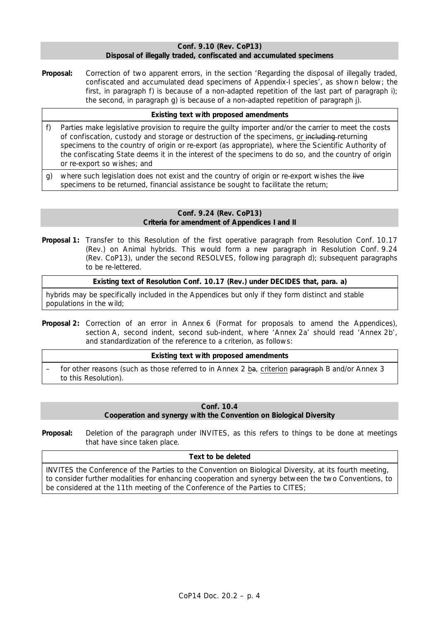## **Conf. 9.10 (Rev. CoP13) Disposal of illegally traded, confiscated and accumulated specimens**

**Proposal:** Correction of two apparent errors, in the section 'Regarding the disposal of illegally traded, confiscated and accumulated dead specimens of Appendix-I species', as shown below; the first, in paragraph f) is because of a non-adapted repetition of the last part of paragraph i); the second, in paragraph g) is because of a non-adapted repetition of paragraph j).

# **Existing text with proposed amendments**

- f) Parties make legislative provision to require the guilty importer and/or the carrier to meet the costs of confiscation, custody and storage or destruction of the specimens, or including returning specimens to the country of origin or re-export (as appropriate), where the Scientific Authority of the confiscating State deems it in the interest of the specimens to do so, and the country of origin or re-export so wishes; and
- g) where such legislation does not exist and the country of origin or re-export wishes the live specimens to be returned, financial assistance be sought to facilitate the return;

### **Conf. 9.24 (Rev. CoP13) Criteria for amendment of Appendices I and II**

*Proposal 1:* Transfer to this Resolution of the first operative paragraph from Resolution Conf. 10.17 (Rev.) on Animal hybrids. This would form a new paragraph in Resolution Conf. 9.24 (Rev. CoP13), under the second RESOLVES, following paragraph d); subsequent paragraphs to be re-lettered.

**Existing text of Resolution Conf. 10.17 (Rev.) under DECIDES that, para. a)** 

hybrids may be specifically included in the Appendices but only if they form distinct and stable populations in the wild;

*Proposal 2:* Correction of an error in Annex 6 (Format for proposals to amend the Appendices), section A, second indent, second sub-indent, where 'Annex 2a' should read 'Annex 2b', and standardization of the reference to a criterion, as follows:

# **Existing text with proposed amendments**

for other reasons (such as those referred to in Annex 2 ba, criterion paragraph B and/or Annex 3 to this Resolution).

# **Conf. 10.4 Cooperation and synergy with the Convention on Biological Diversity**

*Proposal:* Deletion of the paragraph under INVITES, as this refers to things to be done at meetings that have since taken place.

# **Text to be deleted**

INVITES the Conference of the Parties to the Convention on Biological Diversity, at its fourth meeting, to consider further modalities for enhancing cooperation and synergy between the two Conventions, to be considered at the 11th meeting of the Conference of the Parties to CITES;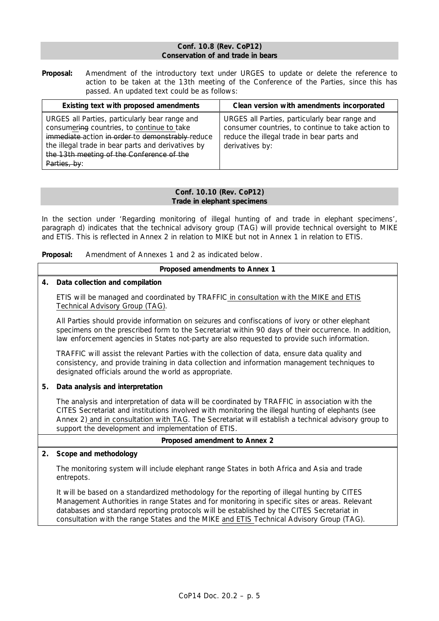## **Conf. 10.8 (Rev. CoP12) Conservation of and trade in bears**

*Proposal:* Amendment of the introductory text under URGES to update or delete the reference to action to be taken at the 13th meeting of the Conference of the Parties, since this has passed. An updated text could be as follows:

| Existing text with proposed amendments                                                                                                                                                                                                                              | Clean version with amendments incorporated                                                                                                                           |
|---------------------------------------------------------------------------------------------------------------------------------------------------------------------------------------------------------------------------------------------------------------------|----------------------------------------------------------------------------------------------------------------------------------------------------------------------|
| URGES all Parties, particularly bear range and<br>consumering countries, to continue to take<br>immediate-action in order-to demonstrably-reduce<br>the illegal trade in bear parts and derivatives by<br>the 13th meeting of the Conference of the<br>Parties, by: | URGES all Parties, particularly bear range and<br>consumer countries, to continue to take action to<br>reduce the illegal trade in bear parts and<br>derivatives by: |

## **Conf. 10.10 (Rev. CoP12) Trade in elephant specimens**

In the section under 'Regarding monitoring of illegal hunting of and trade in elephant specimens', paragraph d) indicates that the technical advisory group (TAG) will provide technical oversight to MIKE and ETIS. This is reflected in Annex 2 in relation to MIKE but not in Annex 1 in relation to ETIS.

*Proposal:* Amendment of Annexes 1 and 2 as indicated below.

# **Proposed amendments to Annex 1**

# *4. Data collection and compilation*

 ETIS will be managed and coordinated by TRAFFIC in consultation with the MIKE and ETIS Technical Advisory Group (TAG).

 All Parties should provide information on seizures and confiscations of ivory or other elephant specimens on the prescribed form to the Secretariat within 90 days of their occurrence. In addition, law enforcement agencies in States not-party are also requested to provide such information.

 TRAFFIC will assist the relevant Parties with the collection of data, ensure data quality and consistency, and provide training in data collection and information management techniques to designated officials around the world as appropriate.

# *5. Data analysis and interpretation*

 The analysis and interpretation of data will be coordinated by TRAFFIC in association with the CITES Secretariat and institutions involved with monitoring the illegal hunting of elephants (see Annex 2) and in consultation with TAG. The Secretariat will establish a technical advisory group to support the development and implementation of ETIS.

# **Proposed amendment to Annex 2**

# *2. Scope and methodology*

 The monitoring system will include elephant range States in both Africa and Asia and trade entrepots.

 It will be based on a standardized methodology for the reporting of illegal hunting by CITES Management Authorities in range States and for monitoring in specific sites or areas. Relevant databases and standard reporting protocols will be established by the CITES Secretariat in consultation with the range States and the MIKE and ETIS Technical Advisory Group (TAG).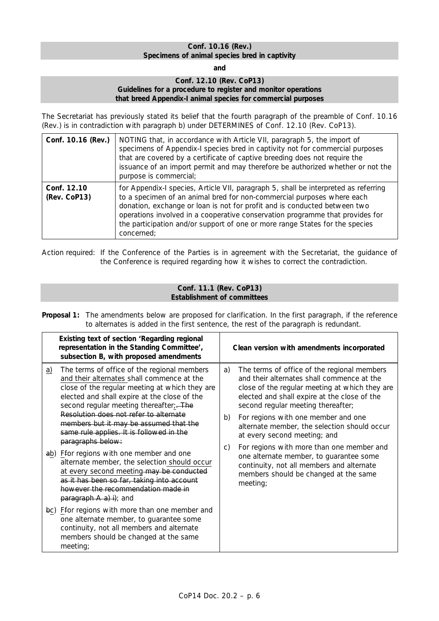# **Conf. 10.16 (Rev.) Specimens of animal species bred in captivity**

**and** 

## **Conf. 12.10 (Rev. CoP13) Guidelines for a procedure to register and monitor operations that breed Appendix-I animal species for commercial purposes**

The Secretariat has previously stated its belief that the fourth paragraph of the preamble of Conf. 10.16 (Rev.) is in contradiction with paragraph b) under DETERMINES of Conf. 12.10 (Rev. CoP13).

| Conf. 10.16 (Rev.)          | NOTING that, in accordance with Article VII, paragraph 5, the import of<br>specimens of Appendix-I species bred in captivity not for commercial purposes<br>that are covered by a certificate of captive breeding does not require the<br>issuance of an import permit and may therefore be authorized whether or not the<br>purpose is commercial;                                                                       |
|-----------------------------|---------------------------------------------------------------------------------------------------------------------------------------------------------------------------------------------------------------------------------------------------------------------------------------------------------------------------------------------------------------------------------------------------------------------------|
| Conf. 12.10<br>(Rev. CoP13) | for Appendix-I species, Article VII, paragraph 5, shall be interpreted as referring<br>to a specimen of an animal bred for non-commercial purposes where each<br>donation, exchange or loan is not for profit and is conducted between two<br>operations involved in a cooperative conservation programme that provides for<br>the participation and/or support of one or more range States for the species<br>concerned; |

Action required: If the Conference of the Parties is in agreement with the Secretariat, the guidance of the Conference is required regarding how it wishes to correct the contradiction.

# **Conf. 11.1 (Rev. CoP13) Establishment of committees**

*Proposal 1:* The amendments below are proposed for clarification. In the first paragraph, if the reference to alternates is added in the first sentence, the rest of the paragraph is redundant.

|           | Existing text of section 'Regarding regional<br>representation in the Standing Committee',<br>subsection B, with proposed amendments                                                                                                                                                                                                                                                       |          | Clean version with amendments incorporated                                                                                                                                                                                                                                                                                                               |  |
|-----------|--------------------------------------------------------------------------------------------------------------------------------------------------------------------------------------------------------------------------------------------------------------------------------------------------------------------------------------------------------------------------------------------|----------|----------------------------------------------------------------------------------------------------------------------------------------------------------------------------------------------------------------------------------------------------------------------------------------------------------------------------------------------------------|--|
| <u>a)</u> | The terms of office of the regional members<br>and their alternates shall commence at the<br>close of the regular meeting at which they are<br>elected and shall expire at the close of the<br>second regular meeting thereafter; The<br>Resolution does not refer to alternate<br>members but it may be assumed that the<br>same rule applies. It is followed in the<br>paragraphs below: | a)<br>b) | The terms of office of the regional members<br>and their alternates shall commence at the<br>close of the regular meeting at which they are<br>elected and shall expire at the close of the<br>second regular meeting thereafter;<br>For regions with one member and one<br>alternate member, the selection should occur<br>at every second meeting; and |  |
|           | ab) Ffor regions with one member and one<br>alternate member, the selection should occur<br>at every second meeting-may be conducted<br>as it has been so far, taking into account<br>however the recommendation made in<br>$\frac{p \cdot p}{p \cdot q}$ paragraph A a) i); and                                                                                                           | C)       | For regions with more than one member and<br>one alternate member, to guarantee some<br>continuity, not all members and alternate<br>members should be changed at the same<br>meeting;                                                                                                                                                                   |  |
|           | bc) Ffor regions with more than one member and<br>one alternate member, to guarantee some<br>continuity, not all members and alternate<br>members should be changed at the same<br>meeting;                                                                                                                                                                                                |          |                                                                                                                                                                                                                                                                                                                                                          |  |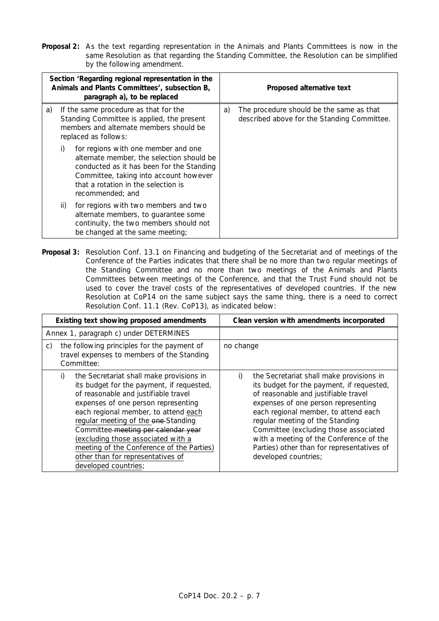*Proposal 2:* As the text regarding representation in the Animals and Plants Committees is now in the same Resolution as that regarding the Standing Committee, the Resolution can be simplified by the following amendment.

| Section 'Regarding regional representation in the<br>Animals and Plants Committees', subsection B,<br>paragraph a), to be replaced |     |                                                                                                                                                                                                                                    |    | Proposed alternative text                                                               |
|------------------------------------------------------------------------------------------------------------------------------------|-----|------------------------------------------------------------------------------------------------------------------------------------------------------------------------------------------------------------------------------------|----|-----------------------------------------------------------------------------------------|
| a)                                                                                                                                 |     | If the same procedure as that for the<br>Standing Committee is applied, the present<br>members and alternate members should be<br>replaced as follows:                                                                             | a) | The procedure should be the same as that<br>described above for the Standing Committee. |
|                                                                                                                                    | i)  | for regions with one member and one<br>alternate member, the selection should be<br>conducted as it has been for the Standing<br>Committee, taking into account however<br>that a rotation in the selection is<br>recommended: and |    |                                                                                         |
|                                                                                                                                    | ii) | for regions with two members and two<br>alternate members, to guarantee some<br>continuity, the two members should not<br>be changed at the same meeting;                                                                          |    |                                                                                         |

*Proposal 3:* Resolution Conf. 13.1 on Financing and budgeting of the Secretariat and of meetings of the Conference of the Parties indicates that there shall be no more than two regular meetings of the Standing Committee and no more than two meetings of the Animals and Plants Committees between meetings of the Conference, and that the Trust Fund should not be used to cover the travel costs of the representatives of developed countries. If the new Resolution at CoP14 on the same subject says the same thing, there is a need to correct Resolution Conf. 11.1 (Rev. CoP13), as indicated below:

| Existing text showing proposed amendments                                                                                                                                                                                                                                                                                                                                                                                                        | Clean version with amendments incorporated                                                                                                                                                                                                                                                                                                                                                                      |
|--------------------------------------------------------------------------------------------------------------------------------------------------------------------------------------------------------------------------------------------------------------------------------------------------------------------------------------------------------------------------------------------------------------------------------------------------|-----------------------------------------------------------------------------------------------------------------------------------------------------------------------------------------------------------------------------------------------------------------------------------------------------------------------------------------------------------------------------------------------------------------|
| Annex 1, paragraph c) under DETERMINES                                                                                                                                                                                                                                                                                                                                                                                                           |                                                                                                                                                                                                                                                                                                                                                                                                                 |
| the following principles for the payment of<br>C)<br>travel expenses to members of the Standing<br>Committee:                                                                                                                                                                                                                                                                                                                                    | no change                                                                                                                                                                                                                                                                                                                                                                                                       |
| the Secretariat shall make provisions in<br>i)<br>its budget for the payment, if requested,<br>of reasonable and justifiable travel<br>expenses of one person representing<br>each regional member, to attend each<br>regular meeting of the one-Standing<br>Committee meeting per calendar year<br>(excluding those associated with a<br>meeting of the Conference of the Parties)<br>other than for representatives of<br>developed countries; | the Secretariat shall make provisions in<br>i)<br>its budget for the payment, if requested,<br>of reasonable and justifiable travel<br>expenses of one person representing<br>each regional member, to attend each<br>regular meeting of the Standing<br>Committee (excluding those associated<br>with a meeting of the Conference of the<br>Parties) other than for representatives of<br>developed countries; |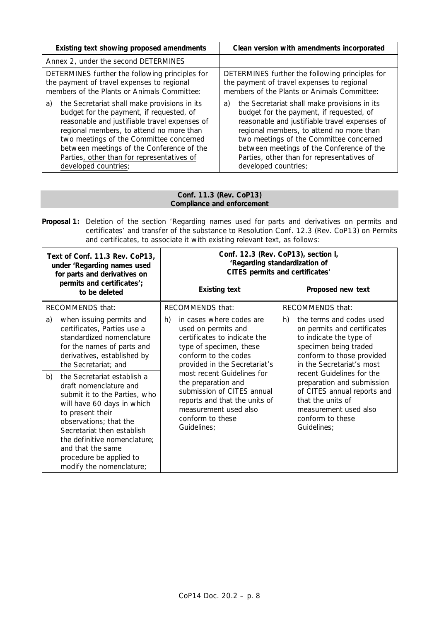| Existing text showing proposed amendments       | Clean version with amendments incorporated      |
|-------------------------------------------------|-------------------------------------------------|
| Annex 2, under the second DETERMINES            |                                                 |
| DETERMINES further the following principles for | DETERMINES further the following principles for |
| the payment of travel expenses to regional      | the payment of travel expenses to regional      |
| members of the Plants or Animals Committee:     | members of the Plants or Animals Committee:     |
| the Secretariat shall make provisions in its    | the Secretariat shall make provisions in its    |
| a)                                              | a)                                              |
| budget for the payment, if requested, of        | budget for the payment, if requested, of        |
| reasonable and justifiable travel expenses of   | reasonable and justifiable travel expenses of   |
| regional members, to attend no more than        | regional members, to attend no more than        |
| two meetings of the Committee concerned         | two meetings of the Committee concerned         |
| between meetings of the Conference of the       | between meetings of the Conference of the       |
| Parties, other than for representatives of      | Parties, other than for representatives of      |
| developed countries;                            | developed countries;                            |

# **Conf. 11.3 (Rev. CoP13) Compliance and enforcement**

**Proposal 1:** Deletion of the section 'Regarding names used for parts and derivatives on permits and certificates' and transfer of the substance to Resolution Conf. 12.3 (Rev. CoP13) on Permits and certificates, to associate it with existing relevant text, as follows:

| Text of Conf. 11.3 Rev. CoP13,<br>under 'Regarding names used<br>for parts and derivatives on                                                                                                                                                                                                                                                               | Conf. 12.3 (Rev. CoP13), section I,<br>'Regarding standardization of<br><b>CITES permits and certificates'</b>                                                                                                                                                                                                                                            |                                                                                                                                                                                                                                                                                                                                                               |  |  |
|-------------------------------------------------------------------------------------------------------------------------------------------------------------------------------------------------------------------------------------------------------------------------------------------------------------------------------------------------------------|-----------------------------------------------------------------------------------------------------------------------------------------------------------------------------------------------------------------------------------------------------------------------------------------------------------------------------------------------------------|---------------------------------------------------------------------------------------------------------------------------------------------------------------------------------------------------------------------------------------------------------------------------------------------------------------------------------------------------------------|--|--|
| permits and certificates';<br>to be deleted                                                                                                                                                                                                                                                                                                                 | <b>Existing text</b>                                                                                                                                                                                                                                                                                                                                      | Proposed new text                                                                                                                                                                                                                                                                                                                                             |  |  |
| RECOMMENDS that:                                                                                                                                                                                                                                                                                                                                            | RECOMMENDS that:                                                                                                                                                                                                                                                                                                                                          | <b>RECOMMENDS that:</b>                                                                                                                                                                                                                                                                                                                                       |  |  |
| when issuing permits and<br>a)<br>certificates, Parties use a<br>standardized nomenclature<br>for the names of parts and<br>derivatives, established by<br>the Secretariat; and<br>the Secretariat establish a<br>b)<br>draft nomenclature and<br>submit it to the Parties, who<br>will have 60 days in which<br>to present their<br>observations; that the | in cases where codes are<br>h)<br>used on permits and<br>certificates to indicate the<br>type of specimen, these<br>conform to the codes<br>provided in the Secretariat's<br>most recent Guidelines for<br>the preparation and<br>submission of CITES annual<br>reports and that the units of<br>measurement used also<br>conform to these<br>Guidelines; | the terms and codes used<br>h)<br>on permits and certificates<br>to indicate the type of<br>specimen being traded<br>conform to those provided<br>in the Secretariat's most<br>recent <i>Guidelines for the</i><br>preparation and submission<br>of CITES annual reports and<br>that the units of<br>measurement used also<br>conform to these<br>Guidelines; |  |  |
| Secretariat then establish<br>the definitive nomenclature;<br>and that the same<br>procedure be applied to<br>modify the nomenclature;                                                                                                                                                                                                                      |                                                                                                                                                                                                                                                                                                                                                           |                                                                                                                                                                                                                                                                                                                                                               |  |  |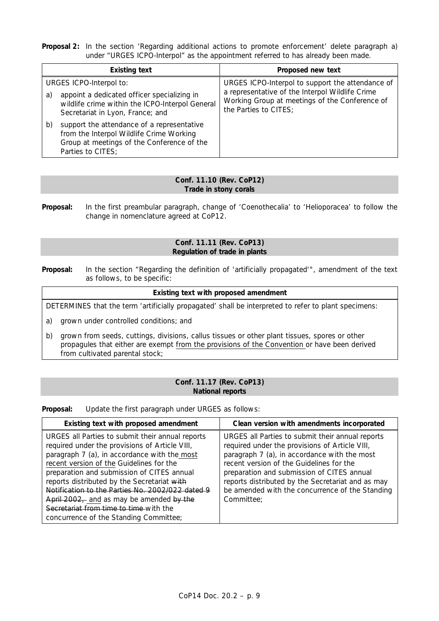**Proposal 2:** In the section 'Regarding additional actions to promote enforcement' delete paragraph a) under "URGES ICPO-Interpol" as the appointment referred to has already been made.

| <b>Existing text</b>                                                                                                                                            | Proposed new text                                                                                                          |
|-----------------------------------------------------------------------------------------------------------------------------------------------------------------|----------------------------------------------------------------------------------------------------------------------------|
| URGES ICPO-Interpol to:                                                                                                                                         | URGES ICPO-Interpol to support the attendance of                                                                           |
| appoint a dedicated officer specializing in<br>a)<br>wildlife crime within the ICPO-Interpol General<br>Secretariat in Lyon, France; and                        | a representative of the Interpol Wildlife Crime<br>Working Group at meetings of the Conference of<br>the Parties to CITES; |
| support the attendance of a representative<br>b)<br>from the Interpol Wildlife Crime Working<br>Group at meetings of the Conference of the<br>Parties to CITES; |                                                                                                                            |

## **Conf. 11.10 (Rev. CoP12) Trade in stony corals**

*Proposal:* In the first preambular paragraph, change of 'Coenothecalia' to 'Helioporacea' to follow the change in nomenclature agreed at CoP12.

## **Conf. 11.11 (Rev. CoP13) Regulation of trade in plants**

*Proposal:* In the section "Regarding the definition of 'artificially propagated'", amendment of the text as follows, to be specific:

# **Existing text with proposed amendment**

DETERMINES that the term 'artificially propagated' shall be interpreted to refer to plant specimens:

- a) grown under controlled conditions; and
- b) grown from seeds, cuttings, divisions, callus tissues or other plant tissues, spores or other propagules that either are exempt from the provisions of the Convention or have been derived from cultivated parental stock;

### **Conf. 11.17 (Rev. CoP13) National reports**

*Proposal:* Update the first paragraph under URGES as follows:

| Existing text with proposed amendment                                                                                                                                                                                                                                                                                                                                                                                                                                           | Clean version with amendments incorporated                                                                                                                                                                                                                                                                                                                         |
|---------------------------------------------------------------------------------------------------------------------------------------------------------------------------------------------------------------------------------------------------------------------------------------------------------------------------------------------------------------------------------------------------------------------------------------------------------------------------------|--------------------------------------------------------------------------------------------------------------------------------------------------------------------------------------------------------------------------------------------------------------------------------------------------------------------------------------------------------------------|
| URGES all Parties to submit their annual reports<br>required under the provisions of Article VIII,<br>paragraph 7 (a), in accordance with the most<br>recent version of the Guidelines for the<br>preparation and submission of CITES annual<br>reports distributed by the Secretariat with<br>Notification to the Parties No. 2002/022 dated 9<br>April 2002, and as may be amended by the<br>Secretariat from time to time with the<br>concurrence of the Standing Committee; | URGES all Parties to submit their annual reports<br>required under the provisions of Article VIII,<br>paragraph 7 (a), in accordance with the most<br>recent version of the Guidelines for the<br>preparation and submission of CITES annual<br>reports distributed by the Secretariat and as may<br>be amended with the concurrence of the Standing<br>Committee: |